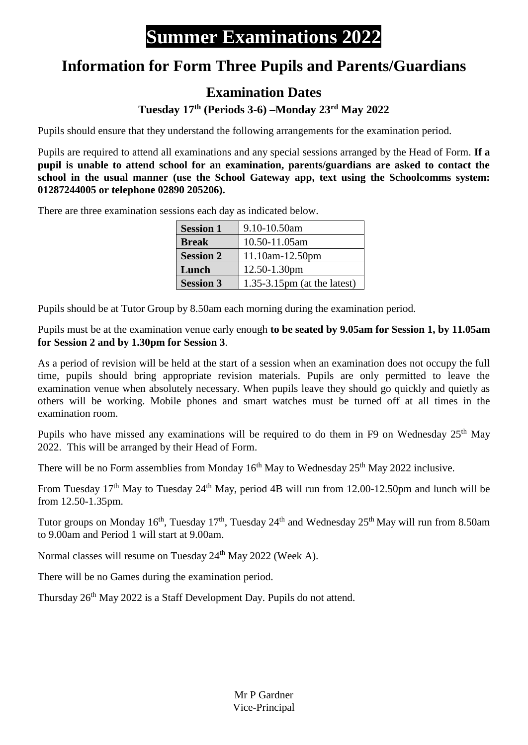## **Summer Examinations 2022**

## **Information for Form Three Pupils and Parents/Guardians**

## **Examination Dates**

## **Tuesday 17 th (Periods 3-6) –Monday 23rd May 2022**

Pupils should ensure that they understand the following arrangements for the examination period.

Pupils are required to attend all examinations and any special sessions arranged by the Head of Form. **If a pupil is unable to attend school for an examination, parents/guardians are asked to contact the school in the usual manner (use the School Gateway app, text using the Schoolcomms system: 01287244005 or telephone 02890 205206).**

There are three examination sessions each day as indicated below.

| <b>Session 1</b> | 9.10-10.50am                   |
|------------------|--------------------------------|
| <b>Break</b>     | 10.50-11.05am                  |
| <b>Session 2</b> | $11.10am-12.50pm$              |
| Lunch            | 12.50-1.30pm                   |
| <b>Session 3</b> | $1.35-3.15$ pm (at the latest) |

Pupils should be at Tutor Group by 8.50am each morning during the examination period.

Pupils must be at the examination venue early enough **to be seated by 9.05am for Session 1, by 11.05am for Session 2 and by 1.30pm for Session 3**.

As a period of revision will be held at the start of a session when an examination does not occupy the full time, pupils should bring appropriate revision materials. Pupils are only permitted to leave the examination venue when absolutely necessary. When pupils leave they should go quickly and quietly as others will be working. Mobile phones and smart watches must be turned off at all times in the examination room.

Pupils who have missed any examinations will be required to do them in F9 on Wednesday 25<sup>th</sup> May 2022. This will be arranged by their Head of Form.

There will be no Form assemblies from Monday  $16<sup>th</sup>$  May to Wednesday  $25<sup>th</sup>$  May 2022 inclusive.

From Tuesday  $17<sup>th</sup>$  May to Tuesday  $24<sup>th</sup>$  May, period 4B will run from 12.00-12.50pm and lunch will be from 12.50-1.35pm.

Tutor groups on Monday 16<sup>th</sup>, Tuesday 17<sup>th</sup>, Tuesday 24<sup>th</sup> and Wednesday 25<sup>th</sup> May will run from 8.50am to 9.00am and Period 1 will start at 9.00am.

Normal classes will resume on Tuesday 24<sup>th</sup> May 2022 (Week A).

There will be no Games during the examination period.

Thursday 26<sup>th</sup> May 2022 is a Staff Development Day. Pupils do not attend.

Mr P Gardner Vice-Principal